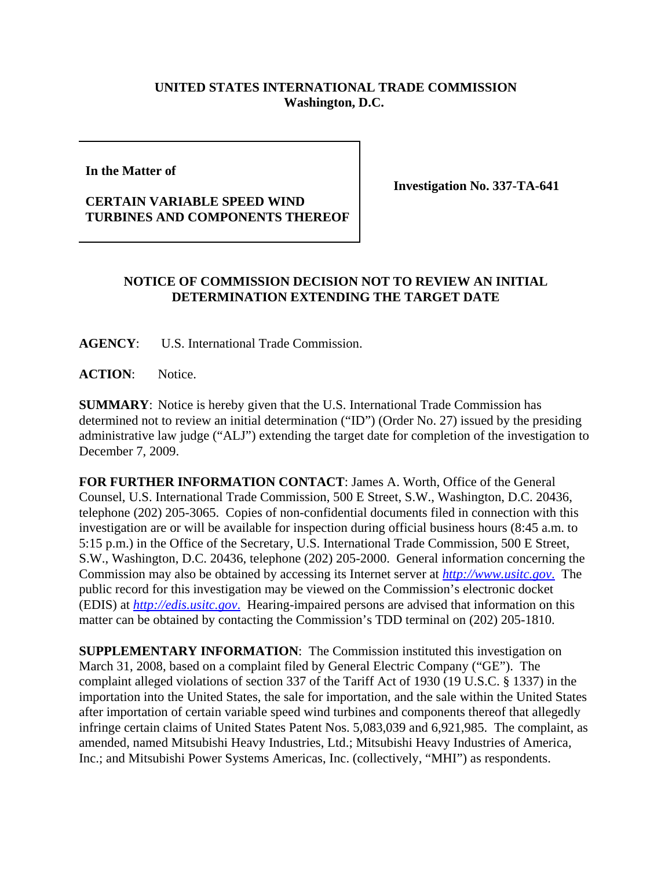## **UNITED STATES INTERNATIONAL TRADE COMMISSION Washington, D.C.**

**In the Matter of** 

## **CERTAIN VARIABLE SPEED WIND TURBINES AND COMPONENTS THEREOF**

**Investigation No. 337-TA-641**

## **NOTICE OF COMMISSION DECISION NOT TO REVIEW AN INITIAL DETERMINATION EXTENDING THE TARGET DATE**

**AGENCY**: U.S. International Trade Commission.

**ACTION**: Notice.

**SUMMARY**: Notice is hereby given that the U.S. International Trade Commission has determined not to review an initial determination ("ID") (Order No. 27) issued by the presiding administrative law judge ("ALJ") extending the target date for completion of the investigation to December 7, 2009.

**FOR FURTHER INFORMATION CONTACT**: James A. Worth, Office of the General Counsel, U.S. International Trade Commission, 500 E Street, S.W., Washington, D.C. 20436, telephone (202) 205-3065. Copies of non-confidential documents filed in connection with this investigation are or will be available for inspection during official business hours (8:45 a.m. to 5:15 p.m.) in the Office of the Secretary, U.S. International Trade Commission, 500 E Street, S.W., Washington, D.C. 20436, telephone (202) 205-2000. General information concerning the Commission may also be obtained by accessing its Internet server at *http://www.usitc.gov*. The public record for this investigation may be viewed on the Commission's electronic docket (EDIS) at *http://edis.usitc.gov*. Hearing-impaired persons are advised that information on this matter can be obtained by contacting the Commission's TDD terminal on (202) 205-1810.

**SUPPLEMENTARY INFORMATION:** The Commission instituted this investigation on March 31, 2008, based on a complaint filed by General Electric Company ("GE"). The complaint alleged violations of section 337 of the Tariff Act of 1930 (19 U.S.C. § 1337) in the importation into the United States, the sale for importation, and the sale within the United States after importation of certain variable speed wind turbines and components thereof that allegedly infringe certain claims of United States Patent Nos. 5,083,039 and 6,921,985. The complaint, as amended, named Mitsubishi Heavy Industries, Ltd.; Mitsubishi Heavy Industries of America, Inc.; and Mitsubishi Power Systems Americas, Inc. (collectively, "MHI") as respondents.